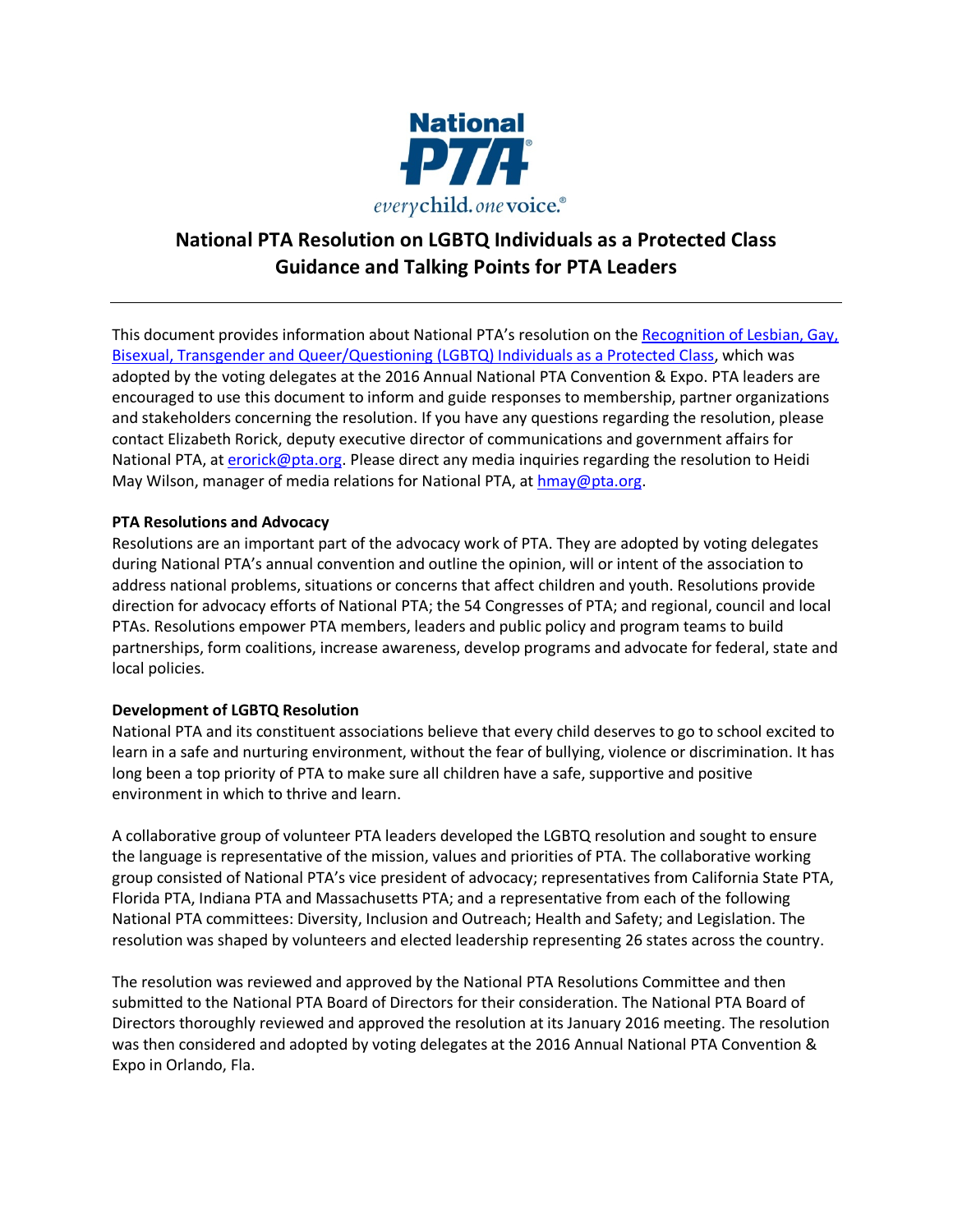

# **National PTA Resolution on LGBTQ Individuals as a Protected Class Guidance and Talking Points for PTA Leaders**

This document provides information about National PTA's resolution on the Recognition of Lesbian, Gay, Bisexual, Transgender and Queer/Questioning (LGBTQ) Individuals as a Protected Class, which was adopted by the voting delegates at the 2016 Annual National PTA Convention & Expo. PTA leaders are encouraged to use this document to inform and guide responses to membership, partner organizations and stakeholders concerning the resolution. If you have any questions regarding the resolution, please contact Elizabeth Rorick, deputy executive director of communications and government affairs for National PTA, at erorick@pta.org. Please direct any media inquiries regarding the resolution to Heidi May Wilson, manager of media relations for National PTA, at hmay@pta.org.

## **PTA Resolutions and Advocacy**

Resolutions are an important part of the advocacy work of PTA. They are adopted by voting delegates during National PTA's annual convention and outline the opinion, will or intent of the association to address national problems, situations or concerns that affect children and youth. Resolutions provide direction for advocacy efforts of National PTA; the 54 Congresses of PTA; and regional, council and local PTAs. Resolutions empower PTA members, leaders and public policy and program teams to build partnerships, form coalitions, increase awareness, develop programs and advocate for federal, state and local policies.

### **Development of LGBTQ Resolution**

National PTA and its constituent associations believe that every child deserves to go to school excited to learn in a safe and nurturing environment, without the fear of bullying, violence or discrimination. It has long been a top priority of PTA to make sure all children have a safe, supportive and positive environment in which to thrive and learn.

A collaborative group of volunteer PTA leaders developed the LGBTQ resolution and sought to ensure the language is representative of the mission, values and priorities of PTA. The collaborative working group consisted of National PTA's vice president of advocacy; representatives from California State PTA, Florida PTA, Indiana PTA and Massachusetts PTA; and a representative from each of the following National PTA committees: Diversity, Inclusion and Outreach; Health and Safety; and Legislation. The resolution was shaped by volunteers and elected leadership representing 26 states across the country.

The resolution was reviewed and approved by the National PTA Resolutions Committee and then submitted to the National PTA Board of Directors for their consideration. The National PTA Board of Directors thoroughly reviewed and approved the resolution at its January 2016 meeting. The resolution was then considered and adopted by voting delegates at the 2016 Annual National PTA Convention & Expo in Orlando, Fla.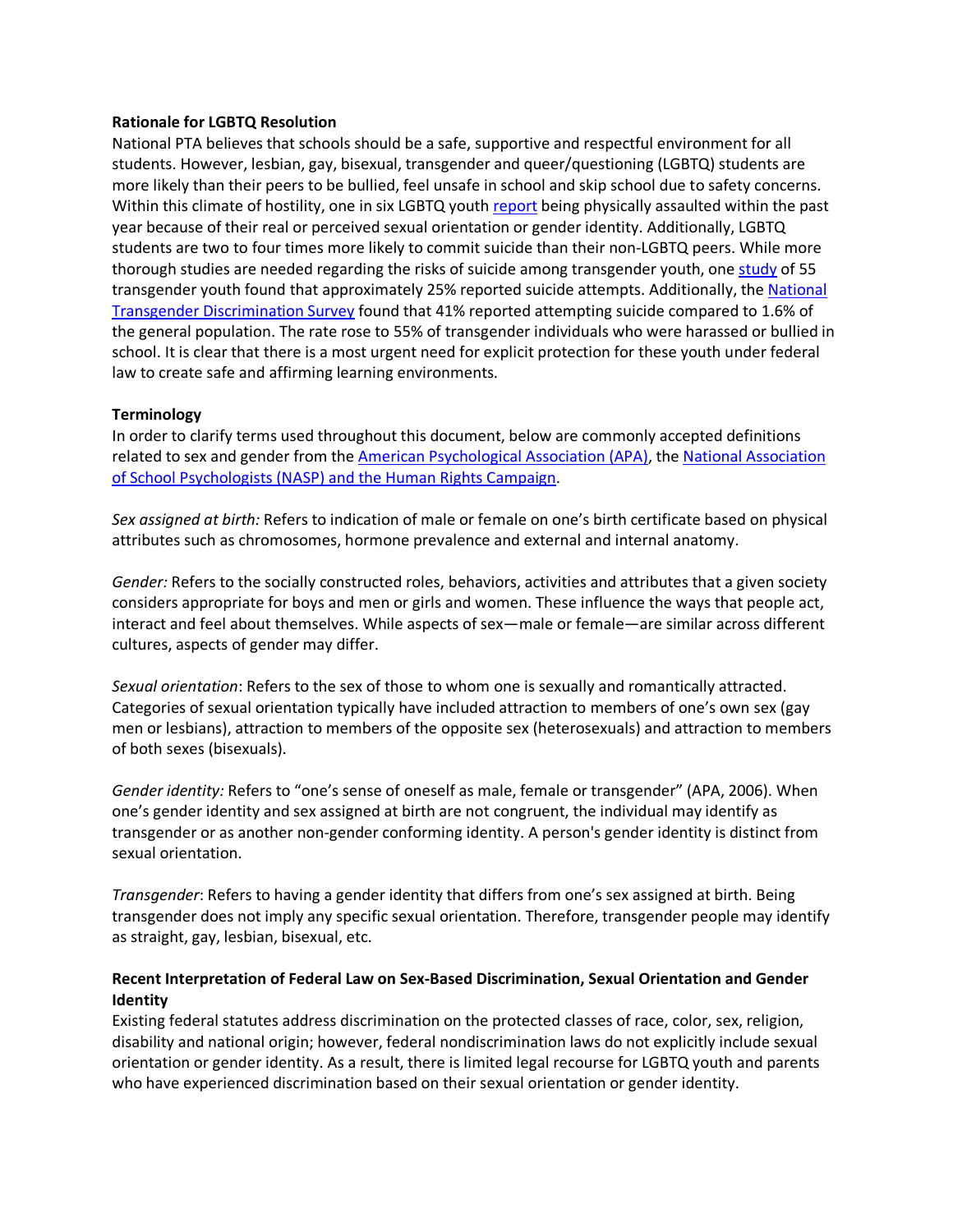#### **Rationale for LGBTQ Resolution**

National PTA believes that schools should be a safe, supportive and respectful environment for all students. However, lesbian, gay, bisexual, transgender and queer/questioning (LGBTQ) students are more likely than their peers to be bullied, feel unsafe in school and skip school due to safety concerns. Within this climate of hostility, one in six LGBTQ youth report being physically assaulted within the past year because of their real or perceived sexual orientation or gender identity. Additionally, LGBTQ students are two to four times more likely to commit suicide than their non-LGBTQ peers. While more thorough studies are needed regarding the risks of suicide among transgender youth, one study of 55 transgender youth found that approximately 25% reported suicide attempts. Additionally, the National Transgender Discrimination Survey found that 41% reported attempting suicide compared to 1.6% of the general population. The rate rose to 55% of transgender individuals who were harassed or bullied in school. It is clear that there is a most urgent need for explicit protection for these youth under federal law to create safe and affirming learning environments.

### **Terminology**

In order to clarify terms used throughout this document, below are commonly accepted definitions related to sex and gender from the American Psychological Association (APA), the National Association of School Psychologists (NASP) and the Human Rights Campaign.

*Sex assigned at birth:* Refers to indication of male or female on one's birth certificate based on physical attributes such as chromosomes, hormone prevalence and external and internal anatomy.

*Gender:* Refers to the socially constructed roles, behaviors, activities and attributes that a given society considers appropriate for boys and men or girls and women. These influence the ways that people act, interact and feel about themselves. While aspects of sex—male or female—are similar across different cultures, aspects of gender may differ.

*Sexual orientation*: Refers to the sex of those to whom one is sexually and romantically attracted. Categories of sexual orientation typically have included attraction to members of one's own sex (gay men or lesbians), attraction to members of the opposite sex (heterosexuals) and attraction to members of both sexes (bisexuals).

*Gender identity:* Refers to "one's sense of oneself as male, female or transgender" (APA, 2006). When one's gender identity and sex assigned at birth are not congruent, the individual may identify as transgender or as another non-gender conforming identity. A person's gender identity is distinct from sexual orientation.

*Transgender*: Refers to having a gender identity that differs from one's sex assigned at birth. Being transgender does not imply any specific sexual orientation. Therefore, transgender people may identify as straight, gay, lesbian, bisexual, etc.

## **Recent Interpretation of Federal Law on Sex-Based Discrimination, Sexual Orientation and Gender Identity**

Existing federal statutes address discrimination on the protected classes of race, color, sex, religion, disability and national origin; however, federal nondiscrimination laws do not explicitly include sexual orientation or gender identity. As a result, there is limited legal recourse for LGBTQ youth and parents who have experienced discrimination based on their sexual orientation or gender identity.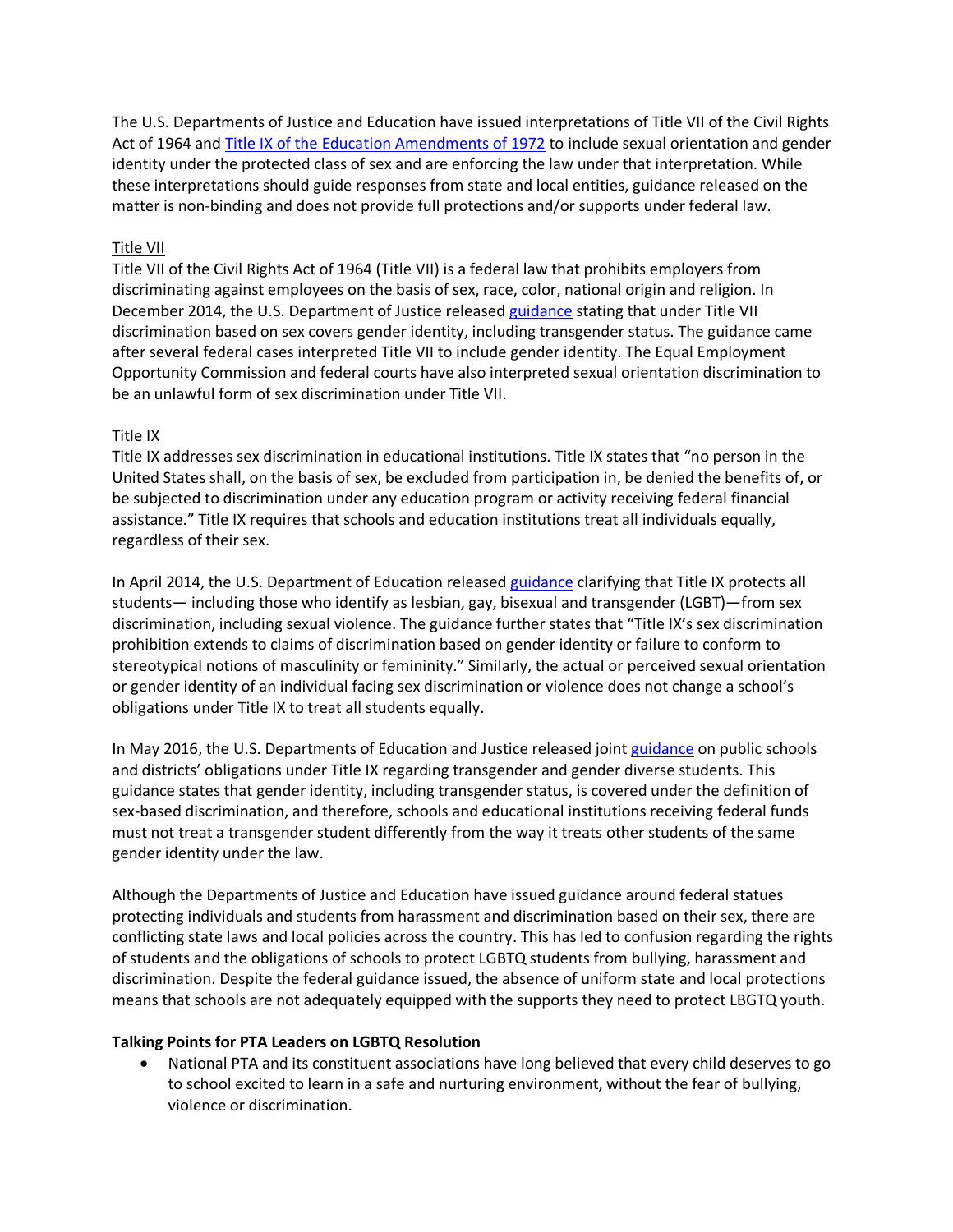The U.S. Departments of Justice and Education have issued interpretations of Title VII of the Civil Rights Act of 1964 and Title IX of the Education Amendments of 1972 to include sexual orientation and gender identity under the protected class of sex and are enforcing the law under that interpretation. While these interpretations should guide responses from state and local entities, guidance released on the matter is non-binding and does not provide full protections and/or supports under federal law.

## Title VII

Title VII of the Civil Rights Act of 1964 (Title VII) is a federal law that prohibits employers from discriminating against employees on the basis of sex, race, color, national origin and religion. In December 2014, the U.S. Department of Justice released guidance stating that under Title VII discrimination based on sex covers gender identity, including transgender status. The guidance came after several federal cases interpreted Title VII to include gender identity. The Equal Employment Opportunity Commission and federal courts have also interpreted sexual orientation discrimination to be an unlawful form of sex discrimination under Title VII.

# Title IX

Title IX addresses sex discrimination in educational institutions. Title IX states that "no person in the United States shall, on the basis of sex, be excluded from participation in, be denied the benefits of, or be subjected to discrimination under any education program or activity receiving federal financial assistance." Title IX requires that schools and education institutions treat all individuals equally, regardless of their sex.

In April 2014, the U.S. Department of Education released guidance clarifying that Title IX protects all students— including those who identify as lesbian, gay, bisexual and transgender (LGBT)—from sex discrimination, including sexual violence. The guidance further states that "Title IX's sex discrimination prohibition extends to claims of discrimination based on gender identity or failure to conform to stereotypical notions of masculinity or femininity." Similarly, the actual or perceived sexual orientation or gender identity of an individual facing sex discrimination or violence does not change a school's obligations under Title IX to treat all students equally.

In May 2016, the U.S. Departments of Education and Justice released joint guidance on public schools and districts' obligations under Title IX regarding transgender and gender diverse students. This guidance states that gender identity, including transgender status, is covered under the definition of sex-based discrimination, and therefore, schools and educational institutions receiving federal funds must not treat a transgender student differently from the way it treats other students of the same gender identity under the law.

Although the Departments of Justice and Education have issued guidance around federal statues protecting individuals and students from harassment and discrimination based on their sex, there are conflicting state laws and local policies across the country. This has led to confusion regarding the rights of students and the obligations of schools to protect LGBTQ students from bullying, harassment and discrimination. Despite the federal guidance issued, the absence of uniform state and local protections means that schools are not adequately equipped with the supports they need to protect LBGTQ youth.

### **Talking Points for PTA Leaders on LGBTQ Resolution**

• National PTA and its constituent associations have long believed that every child deserves to go to school excited to learn in a safe and nurturing environment, without the fear of bullying, violence or discrimination.